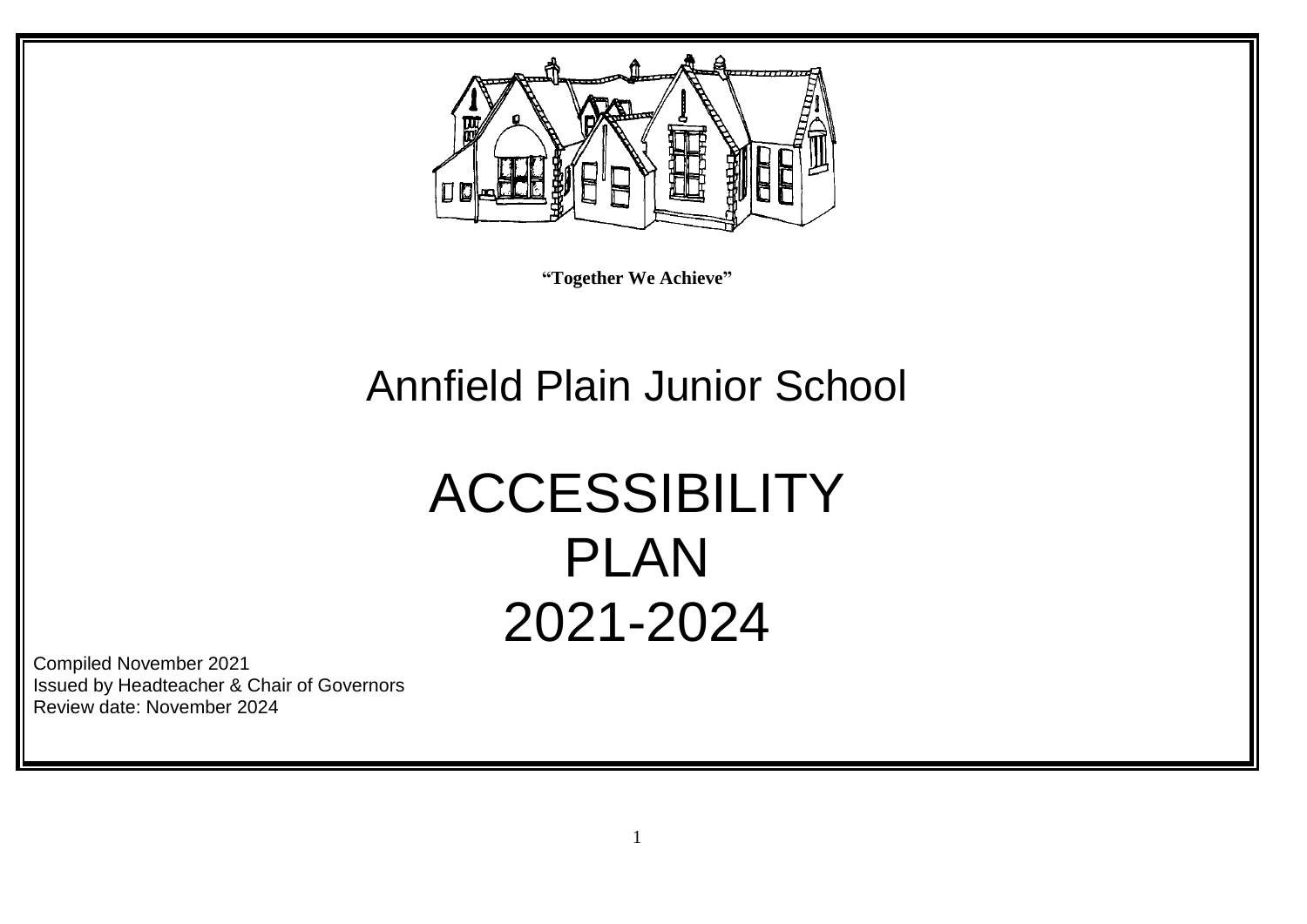

**"Together We Achieve"**

## Annfield Plain Junior School

# ACCESSIBILITY PLAN 2021-2024

Compiled November 2021 Issued by Headteacher & Chair of Governors Review date: November 2024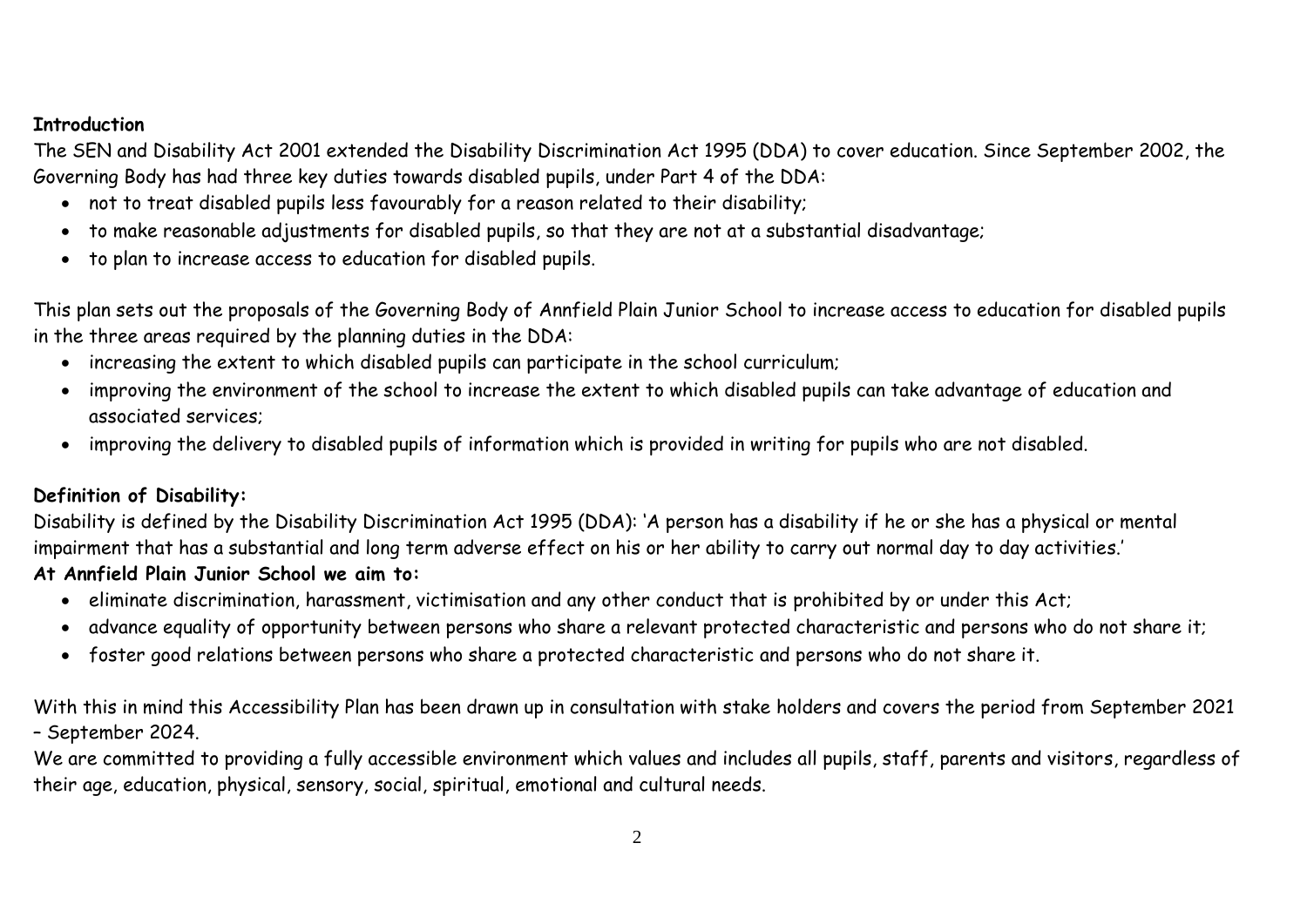#### **Introduction**

The SEN and Disability Act 2001 extended the Disability Discrimination Act 1995 (DDA) to cover education. Since September 2002, the Governing Body has had three key duties towards disabled pupils, under Part 4 of the DDA:

- not to treat disabled pupils less favourably for a reason related to their disability;
- to make reasonable adjustments for disabled pupils, so that they are not at a substantial disadvantage;
- to plan to increase access to education for disabled pupils.

This plan sets out the proposals of the Governing Body of Annfield Plain Junior School to increase access to education for disabled pupils in the three areas required by the planning duties in the DDA:

- increasing the extent to which disabled pupils can participate in the school curriculum;
- improving the environment of the school to increase the extent to which disabled pupils can take advantage of education and associated services;
- improving the delivery to disabled pupils of information which is provided in writing for pupils who are not disabled.

#### **Definition of Disability:**

Disability is defined by the Disability Discrimination Act 1995 (DDA): 'A person has a disability if he or she has a physical or mental impairment that has a substantial and long term adverse effect on his or her ability to carry out normal day to day activities.'

### **At Annfield Plain Junior School we aim to:**

- eliminate discrimination, harassment, victimisation and any other conduct that is prohibited by or under this Act;
- advance equality of opportunity between persons who share a relevant protected characteristic and persons who do not share it;
- foster good relations between persons who share a protected characteristic and persons who do not share it.

With this in mind this Accessibility Plan has been drawn up in consultation with stake holders and covers the period from September 2021 – September 2024.

We are committed to providing a fully accessible environment which values and includes all pupils, staff, parents and visitors, regardless of their age, education, physical, sensory, social, spiritual, emotional and cultural needs.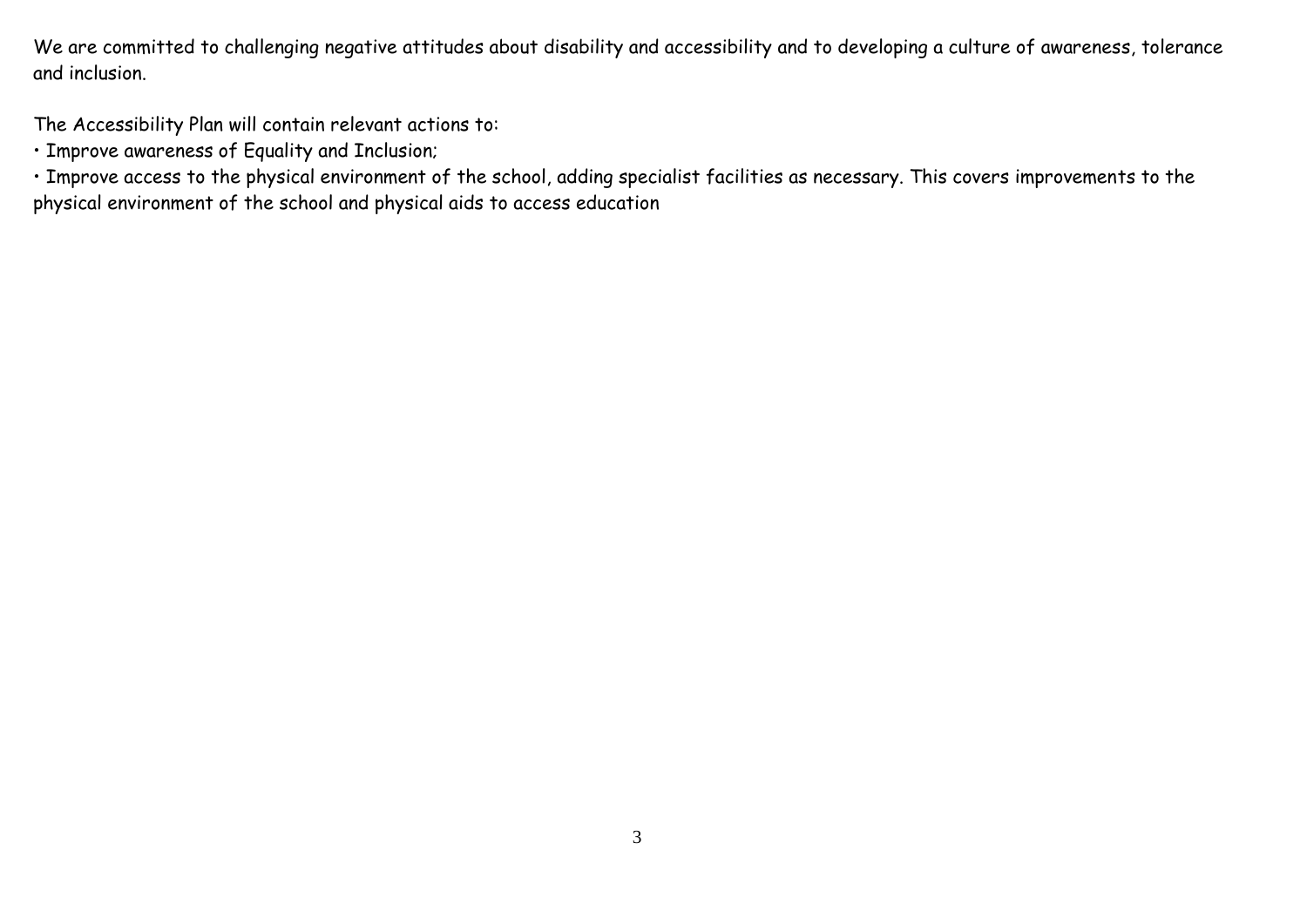We are committed to challenging negative attitudes about disability and accessibility and to developing a culture of awareness, tolerance and inclusion.

The Accessibility Plan will contain relevant actions to:

• Improve awareness of Equality and Inclusion;

• Improve access to the physical environment of the school, adding specialist facilities as necessary. This covers improvements to the physical environment of the school and physical aids to access education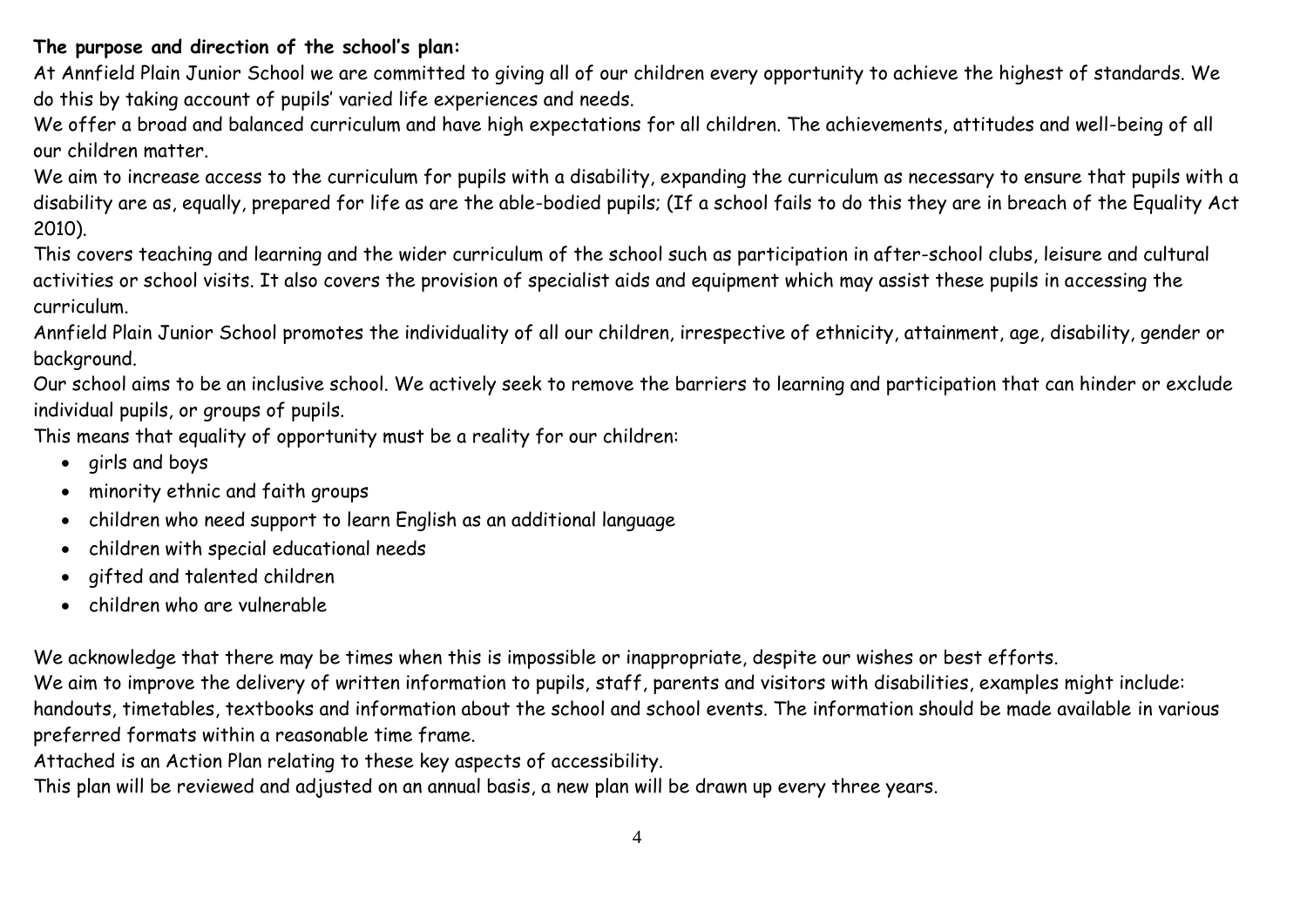#### **The purpose and direction of the school's plan:**

At Annfield Plain Junior School we are committed to giving all of our children every opportunity to achieve the highest of standards. We do this by taking account of pupils' varied life experiences and needs.

We offer a broad and balanced curriculum and have high expectations for all children. The achievements, attitudes and well-being of all our children matter.

We aim to increase access to the curriculum for pupils with a disability, expanding the curriculum as necessary to ensure that pupils with a disability are as, equally, prepared for life as are the able-bodied pupils; (If a school fails to do this they are in breach of the Equality Act 2010).

This covers teaching and learning and the wider curriculum of the school such as participation in after-school clubs, leisure and cultural activities or school visits. It also covers the provision of specialist aids and equipment which may assist these pupils in accessing the curriculum.

Annfield Plain Junior School promotes the individuality of all our children, irrespective of ethnicity, attainment, age, disability, gender or background.

Our school aims to be an inclusive school. We actively seek to remove the barriers to learning and participation that can hinder or exclude individual pupils, or groups of pupils.

This means that equality of opportunity must be a reality for our children:

- girls and boys
- minority ethnic and faith groups
- children who need support to learn English as an additional language
- children with special educational needs
- gifted and talented children
- children who are vulnerable

We acknowledge that there may be times when this is impossible or inappropriate, despite our wishes or best efforts. We aim to improve the delivery of written information to pupils, staff, parents and visitors with disabilities, examples might include: handouts, timetables, textbooks and information about the school and school events. The information should be made available in various preferred formats within a reasonable time frame.

Attached is an Action Plan relating to these key aspects of accessibility.

This plan will be reviewed and adjusted on an annual basis, a new plan will be drawn up every three years.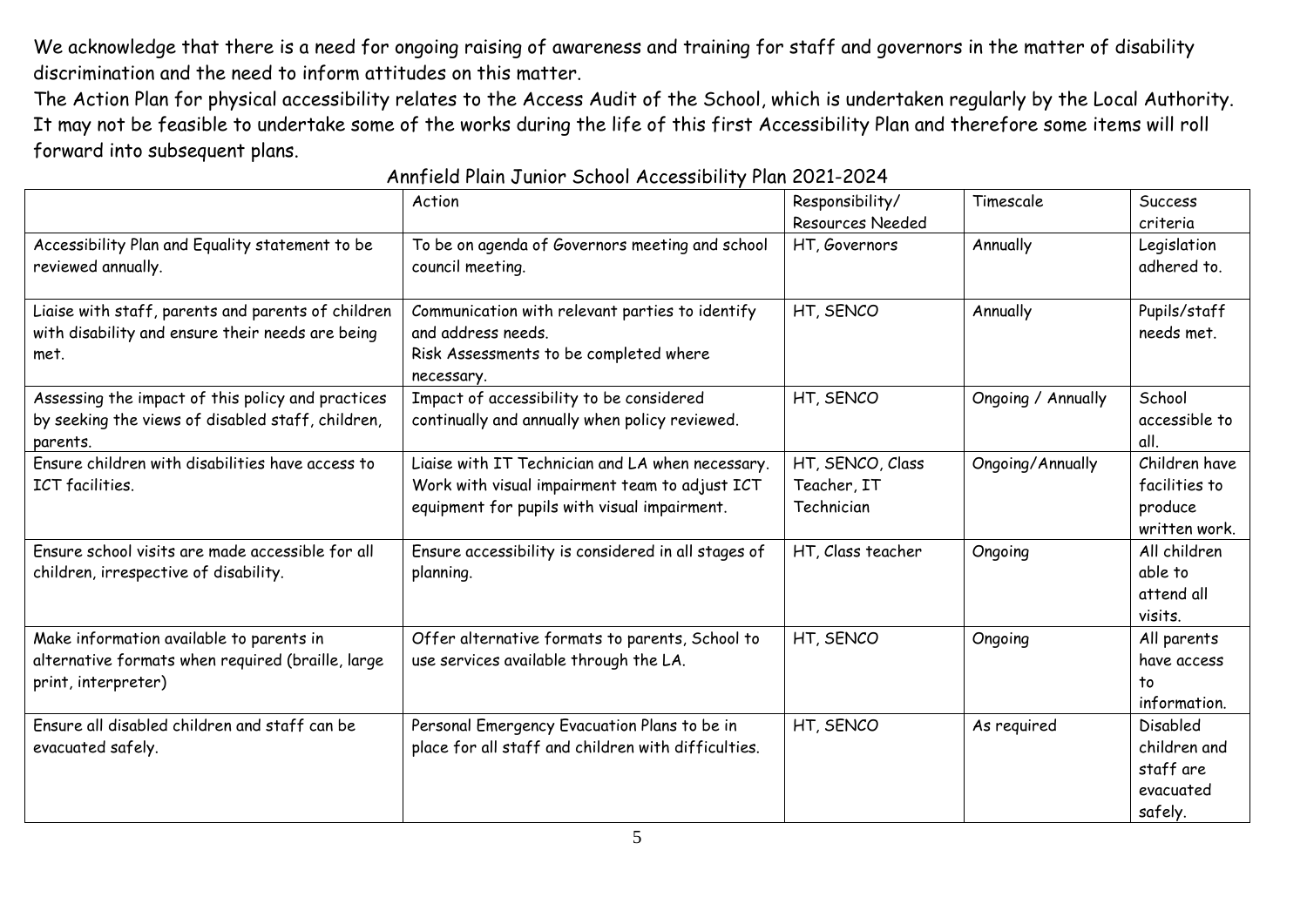We acknowledge that there is a need for ongoing raising of awareness and training for staff and governors in the matter of disability discrimination and the need to inform attitudes on this matter.

The Action Plan for physical accessibility relates to the Access Audit of the School, which is undertaken regularly by the Local Authority. It may not be feasible to undertake some of the works during the life of this first Accessibility Plan and therefore some items will roll forward into subsequent plans.

|                                                                                                                      | Action                                                                                                                                             | Responsibility/<br><b>Resources Needed</b>    | Timescale          | Success<br>criteria                                           |
|----------------------------------------------------------------------------------------------------------------------|----------------------------------------------------------------------------------------------------------------------------------------------------|-----------------------------------------------|--------------------|---------------------------------------------------------------|
| Accessibility Plan and Equality statement to be<br>reviewed annually.                                                | To be on agenda of Governors meeting and school<br>council meeting.                                                                                | HT, Governors                                 | Annually           | Legislation<br>adhered to.                                    |
| Liaise with staff, parents and parents of children<br>with disability and ensure their needs are being<br>met.       | Communication with relevant parties to identify<br>and address needs.<br>Risk Assessments to be completed where<br>necessary.                      | HT, SENCO                                     | Annually           | Pupils/staff<br>needs met.                                    |
| Assessing the impact of this policy and practices<br>by seeking the views of disabled staff, children,<br>parents.   | Impact of accessibility to be considered<br>continually and annually when policy reviewed.                                                         | HT, SENCO                                     | Ongoing / Annually | School<br>accessible to<br>all.                               |
| Ensure children with disabilities have access to<br>ICT facilities.                                                  | Liaise with IT Technician and LA when necessary.<br>Work with visual impairment team to adjust ICT<br>equipment for pupils with visual impairment. | HT, SENCO, Class<br>Teacher, IT<br>Technician | Ongoing/Annually   | Children have<br>facilities to<br>produce<br>written work.    |
| Ensure school visits are made accessible for all<br>children, irrespective of disability.                            | Ensure accessibility is considered in all stages of<br>planning.                                                                                   | HT, Class teacher                             | Ongoing            | All children<br>able to<br>attend all<br>visits.              |
| Make information available to parents in<br>alternative formats when required (braille, large<br>print, interpreter) | Offer alternative formats to parents, School to<br>use services available through the LA.                                                          | HT, SENCO                                     | Ongoing            | All parents<br>have access<br>to<br>information.              |
| Ensure all disabled children and staff can be<br>evacuated safely.                                                   | Personal Emergency Evacuation Plans to be in<br>place for all staff and children with difficulties.                                                | HT, SENCO                                     | As required        | Disabled<br>children and<br>staff are<br>evacuated<br>safely. |

Annfield Plain Junior School Accessibility Plan 2021-2024